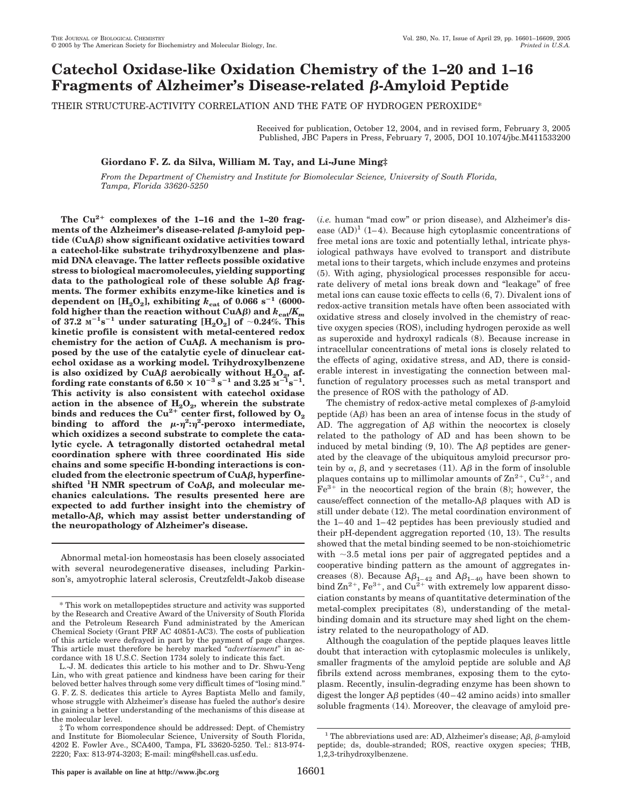## **Catechol Oxidase-like Oxidation Chemistry of the 1–20 and 1–16 Fragments of Alzheimer's Disease-related -Amyloid Peptide**

THEIR STRUCTURE-ACTIVITY CORRELATION AND THE FATE OF HYDROGEN PEROXIDE\*

Received for publication, October 12, 2004, and in revised form, February 3, 2005 Published, JBC Papers in Press, February 7, 2005, DOI 10.1074/jbc.M411533200

**Giordano F. Z. da Silva, William M. Tay, and Li-June Ming‡**

*From the Department of Chemistry and Institute for Biomolecular Science, University of South Florida, Tampa, Florida 33620-5250*

**The Cu2**- **complexes of the 1–16 and the 1–20 frag** $m$ ents of the Alzheimer's disease-related  $\beta$ -amyloid pep**tide (CuA) show significant oxidative activities toward a catechol-like substrate trihydroxylbenzene and plasmid DNA cleavage. The latter reflects possible oxidative stress to biological macromolecules, yielding supporting** data to the pathological role of these soluble  $\mathbf{A}\boldsymbol{\beta}$  frag**ments. The former exhibits enzyme-like kinetics and is dependent on**  $[H_2O_2]$ , exhibiting  $k_{\text{cat}}$  of 0.066 s<sup>-1</sup> (6000fold higher than the reaction without CuA $\beta$ ) and  $k_{cat}/K_m$ **of** 37.2  $M^{-1}s^{-1}$  under saturating  $[H_2O_2]$  of  $\sim 0.24\%$ . This **kinetic profile is consistent with metal-centered redox chemistry for the action of CuA. A mechanism is proposed by the use of the catalytic cycle of dinuclear catechol oxidase as a working model. Trihydroxylbenzene** is also oxidized by CuA $\beta$  aerobically without  $\text{H}_2\text{O}_2$ , affording rate constants of 6.50  $\times$  10<sup>-3</sup> s<sup>-1</sup> and 3.25  $\text{M}^{-1}\text{s}^{-1}$ . **This activity is also consistent with catechol oxidase** action in the absence of  $H_2O_2$ , wherein the substrate binds and reduces the  $Cu^{2+}$  center first, followed by  $O_2$ binding to afford the  $\mu$ - $\eta^2$ : $\eta^2$ -peroxo intermediate, **which oxidizes a second substrate to complete the catalytic cycle. A tetragonally distorted octahedral metal coordination sphere with three coordinated His side chains and some specific H-bonding interactions is concluded from the electronic spectrum of CuA, hyperfineshifted <sup>1</sup> H NMR spectrum of CoA, and molecular mechanics calculations. The results presented here are expected to add further insight into the chemistry of metallo-A, which may assist better understanding of the neuropathology of Alzheimer's disease.**

Abnormal metal-ion homeostasis has been closely associated with several neurodegenerative diseases, including Parkinson's, amyotrophic lateral sclerosis, Creutzfeldt-Jakob disease (*i.e.* human "mad cow" or prion disease), and Alzheimer's disease  $(AD)^1$  (1–4). Because high cytoplasmic concentrations of free metal ions are toxic and potentially lethal, intricate physiological pathways have evolved to transport and distribute metal ions to their targets, which include enzymes and proteins (5). With aging, physiological processes responsible for accurate delivery of metal ions break down and "leakage" of free metal ions can cause toxic effects to cells (6, 7). Divalent ions of redox-active transition metals have often been associated with oxidative stress and closely involved in the chemistry of reactive oxygen species (ROS), including hydrogen peroxide as well as superoxide and hydroxyl radicals (8). Because increase in intracellular concentrations of metal ions is closely related to the effects of aging, oxidative stress, and AD, there is considerable interest in investigating the connection between malfunction of regulatory processes such as metal transport and the presence of ROS with the pathology of AD.

The chemistry of redox-active metal complexes of  $\beta$ -amyloid peptide  $(A\beta)$  has been an area of intense focus in the study of AD. The aggregation of  $\overrightarrow{AB}$  within the neocortex is closely related to the pathology of AD and has been shown to be induced by metal binding  $(9, 10)$ . The A $\beta$  peptides are generated by the cleavage of the ubiquitous amyloid precursor protein by  $\alpha$ ,  $\beta$ , and  $\gamma$  secretases (11). A $\beta$  in the form of insoluble plaques contains up to millimolar amounts of  $\text{Zn}^{2+}$ ,  $\text{Cu}^{2+}$ , and  $Fe<sup>3+</sup>$  in the neocortical region of the brain (8); however, the cause/effect connection of the metallo-A $\beta$  plaques with AD is still under debate (12). The metal coordination environment of the 1–40 and 1–42 peptides has been previously studied and their pH-dependent aggregation reported (10, 13). The results showed that the metal binding seemed to be non-stoichiometric with  $\sim$ 3.5 metal ions per pair of aggregated peptides and a cooperative binding pattern as the amount of aggregates increases (8). Because  $A\beta_{1-42}$  and  $A\beta_{1-40}$  have been shown to bind  $\text{Zn}^{2+}$ ,  $\text{Fe}^{3+}$ , and  $\text{Cu}^{\bar{2}+}$  with extremely low apparent dissociation constants by means of quantitative determination of the metal-complex precipitates (8), understanding of the metalbinding domain and its structure may shed light on the chemistry related to the neuropathology of AD.

Although the coagulation of the peptide plaques leaves little doubt that interaction with cytoplasmic molecules is unlikely, smaller fragments of the amyloid peptide are soluble and  $A\beta$ fibrils extend across membranes, exposing them to the cytoplasm. Recently, insulin-degrading enzyme has been shown to digest the longer  $\mathbf{A}\beta$  peptides (40–42 amino acids) into smaller soluble fragments (14). Moreover, the cleavage of amyloid pre-

<sup>\*</sup> This work on metallopeptides structure and activity was supported by the Research and Creative Award of the University of South Florida and the Petroleum Research Fund administrated by the American Chemical Society (Grant PRF AC 40851-AC3). The costs of publication of this article were defrayed in part by the payment of page charges. This article must therefore be hereby marked "*advertisement*" in accordance with 18 U.S.C. Section 1734 solely to indicate this fact.

L.-J. M. dedicates this article to his mother and to Dr. Shwu-Yeng Lin, who with great patience and kindness have been caring for their beloved better halves through some very difficult times of "losing mind." G. F. Z. S. dedicates this article to Ayres Baptista Mello and family, whose struggle with Alzheimer's disease has fueled the author's desire in gaining a better understanding of the mechanisms of this disease at the molecular level.

<sup>‡</sup> To whom correspondence should be addressed: Dept. of Chemistry and Institute for Biomolecular Science, University of South Florida, 4202 E. Fowler Ave., SCA400, Tampa, FL 33620-5250. Tel.: 813-974- 2220; Fax: 813-974-3203; E-mail: ming@shell.cas.usf.edu.

<sup>&</sup>lt;sup>1</sup> The abbreviations used are: AD, Alzheimer's disease; A $\beta$ ,  $\beta$ -amyloid peptide; ds, double-stranded; ROS, reactive oxygen species; THB, 1,2,3-trihydroxylbenzene.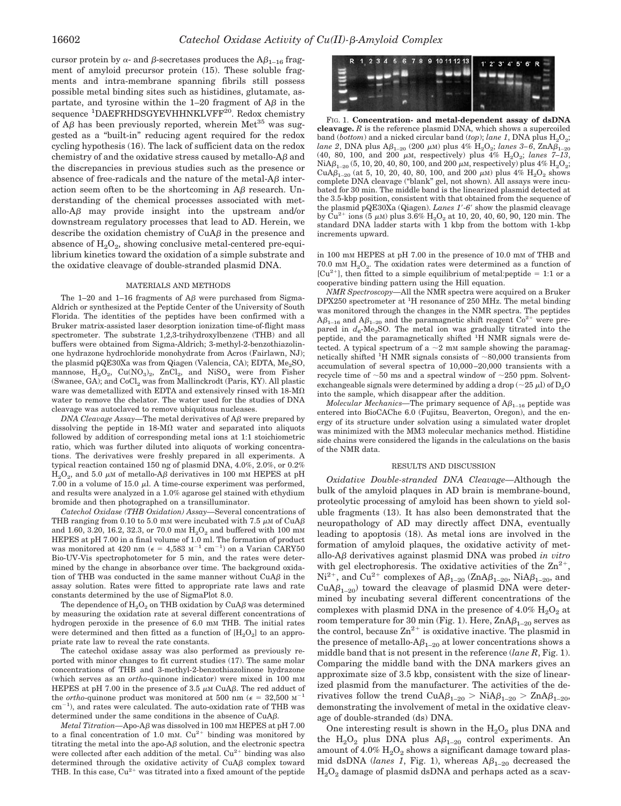cursor protein by  $\alpha$ - and  $\beta$ -secretases produces the A $\beta_{1-16}$  fragment of amyloid precursor protein (15). These soluble fragments and intra-membrane spanning fibrils still possess possible metal binding sites such as histidines, glutamate, aspartate, and tyrosine within the  $1-20$  fragment of  $\mathbf{A}\beta$  in the sequence <sup>1</sup>DAEFRHDSGYEVHHNKLVFF<sup>20</sup>. Redox chemistry of  $\overline{A}\beta$  has been previously reported, wherein Met<sup>35</sup> was suggested as a "built-in" reducing agent required for the redox cycling hypothesis (16). The lack of sufficient data on the redox chemistry of and the oxidative stress caused by metallo- $A\beta$  and the discrepancies in previous studies such as the presence or absence of free-radicals and the nature of the metal- $\overline{AB}$  interaction seem often to be the shortcoming in  $\mathbf{A}\boldsymbol{\beta}$  research. Understanding of the chemical processes associated with metallo-A $\beta$  may provide insight into the upstream and/or downstream regulatory processes that lead to AD. Herein, we describe the oxidation chemistry of  $CuA\beta$  in the presence and absence of  $H<sub>2</sub>O<sub>2</sub>$ , showing conclusive metal-centered pre-equilibrium kinetics toward the oxidation of a simple substrate and the oxidative cleavage of double-stranded plasmid DNA.

## MATERIALS AND METHODS

The 1–20 and 1–16 fragments of  $A\beta$  were purchased from Sigma-Aldrich or synthesized at the Peptide Center of the University of South Florida. The identities of the peptides have been confirmed with a Bruker matrix-assisted laser desorption ionization time-of-flight mass spectrometer. The substrate 1,2,3-trihydroxylbenzene (THB) and all buffers were obtained from Sigma-Aldrich; 3-methyl-2-benzothiazolinone hydrazone hydrochloride monohydrate from Acros (Fairlawn, NJ); the plasmid pQE30Xa was from Qiagen (Valencia, CA); EDTA, Me<sub>2</sub>SO, mannose,  $H_2O_2$ ,  $Cu(NO_3)_2$ ,  $ZnCl_2$ , and  $NiSO_4$  were from Fisher (Swanee, GA); and CoCl<sub>2</sub> was from Mallinckrodt (Paris, KY). All plastic ware was demetallized with EDTA and extensively rinsed with  $18-M\Omega$ water to remove the chelator. The water used for the studies of DNA cleavage was autoclaved to remove ubiquitous nucleases.

*DNA Cleavage Assay*—The metal derivatives of A $\beta$  were prepared by dissolving the peptide in  $18-M\Omega$  water and separated into aliquots followed by addition of corresponding metal ions at 1:1 stoichiometric ratio, which was further diluted into aliquots of working concentrations. The derivatives were freshly prepared in all experiments. A typical reaction contained 150 ng of plasmid DNA, 4.0%, 2.0%, or 0.2%  $H<sub>2</sub>O<sub>2</sub>$ , and 5.0  $\mu$ M of metallo-A $\beta$  derivatives in 100 mM HEPES at pH 7.00 in a volume of 15.0  $\mu$ l. A time-course experiment was performed, and results were analyzed in a 1.0% agarose gel stained with ethydium bromide and then photographed on a transilluminator.

*Catechol Oxidase (THB Oxidation) Assay—*Several concentrations of THB ranging from 0.10 to 5.0 mM were incubated with 7.5  $\mu$ M of CuA $\beta$ and 1.60, 3.20, 16.2, 32.3, or 70.0 mm  $H_2O_2$  and buffered with 100 mm HEPES at pH 7.00 in a final volume of 1.0 ml. The formation of product was monitored at 420 nm ( $\epsilon = 4{,}583 \text{ M}^{-1} \text{ cm}^{-1}$ ) on a Varian CARY50 Bio-UV-Vis spectrophotometer for 5 min, and the rates were determined by the change in absorbance over time. The background oxidation of THB was conducted in the same manner without  $CuA\beta$  in the assay solution. Rates were fitted to appropriate rate laws and rate constants determined by the use of SigmaPlot 8.0.

The dependence of  $H_2O_2$  on THB oxidation by CuA $\beta$  was determined by measuring the oxidation rate at several different concentrations of hydrogen peroxide in the presence of 6.0 mm THB. The initial rates were determined and then fitted as a function of  $[H_2O_2]$  to an appropriate rate law to reveal the rate constants.

The catechol oxidase assay was also performed as previously reported with minor changes to fit current studies (17). The same molar concentrations of THB and 3-methyl-2-benzothiazolinone hydrazone (which serves as an *ortho*-quinone indicator) were mixed in 100 mM HEPES at pH 7.00 in the presence of 3.5  $\mu$ M CuA $\beta$ . The red adduct of the *ortho*-quinone product was monitored at 500 nm ( $\epsilon = 32{,}500 \text{ m}^{-1}$  $cm^{-1}$ ), and rates were calculated. The auto-oxidation rate of THB was determined under the same conditions in the absence of  $CuA\beta$ .

 $$ to a final concentration of 1.0 mm.  $Cu^{2+}$  binding was monitored by titrating the metal into the apo-A $\beta$  solution, and the electronic spectra were collected after each addition of the metal.  $Cu^{2+}$  binding was also determined through the oxidative activity of  $CuA\beta$  complex toward THB. In this case,  $Cu^{2+}$  was titrated into a fixed amount of the peptide



FIG. 1. **Concentration- and metal-dependent assay of dsDNA cleavage.** *R* is the reference plasmid DNA, which shows a supercoiled band (*bottom*) and a nicked circular band (*top*); *lane* 1, DNA plus  $H_2O_2$ ; *lane 2*, DNA plus  $A\beta_{1-20}$  (200  $\mu$ M) plus 4%  $H_2O_2$ ; *lanes 3–6*,  $ZnA\beta_{1-20}$ (40, 80, 100, and 200  $\mu$ M, respectively) plus  $\frac{4}{9}$  H<sub>2</sub>O<sub>2</sub>; *lanes* 7-13, NiA $\beta_{1-20}$  (5, 10, 20, 40, 80, 100, and 200  $\mu$ M, respectively) plus 4% H<sub>2</sub>O<sub>2</sub>; CuA $\beta_{1-20}$  (at 5, 10, 20, 40, 80, 100, and 200  $\mu$ M) plus 4%  $H_2O_2$  shows complete DNA cleavage ("blank" gel, not shown). All assays were incubated for 30 min. The middle band is the linearized plasmid detected at the 3.5-kbp position, consistent with that obtained from the sequence of the plasmid pQE30Xa (Qiagen). *Lanes 1*-*6* show the plasmid cleavage by  $\tilde{C}u^{2+}$  ions (5  $\mu$ M) plus 3.6%  $H_2O_2$  at 10, 20, 40, 60, 90, 120 min. The standard DNA ladder starts with 1 kbp from the bottom with 1-kbp increments upward.

in 100 mM HEPES at pH 7.00 in the presence of 10.0 mM of THB and 70.0 mm  $H_2O_2$ . The oxidation rates were determined as a function of [ $Cu<sup>2+</sup>$ ], then fitted to a simple equilibrium of metal: peptide = 1:1 or a cooperative binding pattern using the Hill equation.

*NMR Spectroscopy—*All the NMR spectra were acquired on a Bruker DPX250 spectrometer at <sup>1</sup>H resonance of 250 MHz. The metal binding was monitored through the changes in the NMR spectra. The peptides  $A\beta_{1-16}$  and  $A\beta_{1-20}$  and the paramagnetic shift reagent  $Co^{2+}$  were prepared in  $d_6$ -Me<sub>2</sub>SO. The metal ion was gradually titrated into the peptide, and the paramagnetically shifted <sup>1</sup>H NMR signals were detected. A typical spectrum of a  $\sim$ 2 mM sample showing the paramagnetically shifted  ${}^{1}$ H NMR signals consists of  $\sim$ 80,000 transients from accumulation of several spectra of 10,000–20,000 transients with a recycle time of  $~50$  ms and a spectral window of  $~250$  ppm. Solventexchangeable signals were determined by adding a drop ( $\sim$ 25 µl) of D<sub>2</sub>O into the sample, which disappear after the addition.

 $Molecular\ Mechanics$ —The primary sequence of  $A\beta_{1-16}$  peptide was entered into BioCAChe 6.0 (Fujitsu, Beaverton, Oregon), and the energy of its structure under solvation using a simulated water droplet was minimized with the MM3 molecular mechanics method. Histidine side chains were considered the ligands in the calculations on the basis of the NMR data.

## RESULTS AND DISCUSSION

*Oxidative Double-stranded DNA Cleavage—*Although the bulk of the amyloid plaques in AD brain is membrane-bound, proteolytic processing of amyloid has been shown to yield soluble fragments (13). It has also been demonstrated that the neuropathology of AD may directly affect DNA, eventually leading to apoptosis (18). As metal ions are involved in the formation of amyloid plaques, the oxidative activity of metallo-A $\beta$  derivatives against plasmid DNA was probed *in vitro* with gel electrophoresis. The oxidative activities of the  $\mathbb{Z}n^{2+}$ ,  $\rm Ni^{2+},$  and  $\rm Cu^{2+}$  complexes of  $\rm A\beta_{1-20}$  (ZnA $\rm \beta_{1-20},$  NiA $\rm \beta_{1-20},$  and  $CuA\beta_{1-20}$ ) toward the cleavage of plasmid DNA were determined by incubating several different concentrations of the complexes with plasmid DNA in the presence of  $4.0\%$   $H_2O_2$  at room temperature for 30 min (Fig. 1). Here,  $\text{ZnA}\beta_{1-20}$  serves as the control, because  $\mathbb{Z}_n^{2+}$  is oxidative inactive. The plasmid in the presence of metallo- $A\beta_{1-20}$  at lower concentrations shows a middle band that is not present in the reference (*lane R*, Fig. 1). Comparing the middle band with the DNA markers gives an approximate size of 3.5 kbp, consistent with the size of linearized plasmid from the manufacturer. The activities of the derivatives follow the trend  $CuA\beta_{1-20} > NiA\beta_{1-20} > ZnA\beta_{1-20}$ , demonstrating the involvement of metal in the oxidative cleavage of double-stranded (ds) DNA.

One interesting result is shown in the  $H_2O_2$  plus DNA and the  $H_2O_2$  plus DNA plus  $A\beta_{1-20}$  control experiments. An amount of  $4.0\%$   $\mathrm{H_2O_2}$  shows a significant damage toward plasmid dsDNA (*lanes 1*, Fig. 1), whereas  $A\beta_{1-20}$  decreased the  $H<sub>2</sub>O<sub>2</sub>$  damage of plasmid dsDNA and perhaps acted as a scav-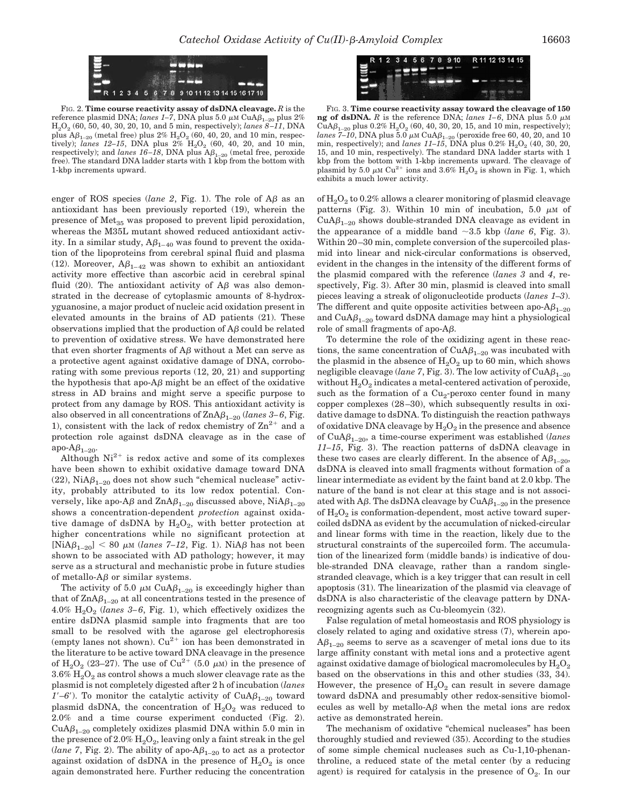

FIG. 2. **Time course reactivity assay of dsDNA cleavage.** *R* is the reference plasmid DNA; *lanes 1–7*, DNA plus 5.0  $\mu$ M CuA $\beta_{1-20}$  plus 2% H2O2 (60, 50, 40, 30, 20, 10, and 5 min, respectively); *lanes 8 –11*, DNA plus  $\mathbb{A}\beta_{1-20}$  (metal free) plus  $2\%$  H<sub>2</sub>O<sub>2</sub> (60, 40, 20, and 10 min, respectively); *lanes 12-15*, DNA plus  $2\%$   $H_2O_2$  (60, 40, 20, and 10 min, respectively); and *lanes* 16–18, DNA plus  $A\beta_{1-20}$  (metal free, peroxide free). The standard DNA ladder starts with 1 kbp from the bottom with 1-kbp increments upward.

enger of ROS species (*lane 2*, Fig. 1). The role of  $\overline{AB}$  as an antioxidant has been previously reported (19), wherein the presence of  $Met_{35}$  was proposed to prevent lipid peroxidation, whereas the M35L mutant showed reduced antioxidant activity. In a similar study,  $A\beta_{1-40}$  was found to prevent the oxidation of the lipoproteins from cerebral spinal fluid and plasma (12). Moreover,  $A\beta_{1-42}$  was shown to exhibit an antioxidant activity more effective than ascorbic acid in cerebral spinal fluid (20). The antioxidant activity of  $\overline{AB}$  was also demonstrated in the decrease of cytoplasmic amounts of 8-hydroxyguanosine, a major product of nucleic acid oxidation present in elevated amounts in the brains of AD patients (21). These observations implied that the production of  $\overline{AB}$  could be related to prevention of oxidative stress. We have demonstrated here that even shorter fragments of  $A\beta$  without a Met can serve as a protective agent against oxidative damage of DNA, corroborating with some previous reports (12, 20, 21) and supporting the hypothesis that apo- $A\beta$  might be an effect of the oxidative stress in AD brains and might serve a specific purpose to protect from any damage by ROS. This antioxidant activity is also observed in all concentrations of  $\text{ZnA}\beta_{1-20}$  (*lanes* 3–6, Fig. 1), consistent with the lack of redox chemistry of  $\text{Zn}^{2+}$  and a protection role against dsDNA cleavage as in the case of apo- $A\beta_{1-20}$ .

Although  $Ni^{2+}$  is redox active and some of its complexes have been shown to exhibit oxidative damage toward DNA (22),  $NiA\beta_{1-20}$  does not show such "chemical nuclease" activity, probably attributed to its low redox potential. Conversely, like apo-A $\beta$  and  $\text{ZnA}\beta_{1-20}$  discussed above,  $\text{Ni}\beta_{1-20}$ shows a concentration-dependent *protection* against oxidative damage of dsDNA by  $H_2O_2$ , with better protection at higher concentrations while no significant protection at  $[NiA\beta_{1-20}]$  < 80  $\mu$ M (*lanes 7–12*, Fig. 1). NiA $\beta$  has not been shown to be associated with AD pathology; however, it may serve as a structural and mechanistic probe in future studies of metallo- $A\beta$  or similar systems.

The activity of 5.0  $\mu$ M CuA $\beta_{1-20}$  is exceedingly higher than that of  $\text{ZnA}\beta_{1-20}$  at all concentrations tested in the presence of 4.0%  $H<sub>2</sub>O<sub>2</sub>$  (*lanes 3–6*, Fig. 1), which effectively oxidizes the entire dsDNA plasmid sample into fragments that are too small to be resolved with the agarose gel electrophoresis (empty lanes not shown).  $Cu^{2+}$  ion has been demonstrated in the literature to be active toward DNA cleavage in the presence of  $H_2O_2$  (23–27). The use of  $Cu^{2+}$  (5.0  $\mu$ M) in the presence of  $3.6\%$  H<sub>2</sub>O<sub>2</sub> as control shows a much slower cleavage rate as the plasmid is not completely digested after 2 h of incubation (*lanes*  $1'-6'$ ). To monitor the catalytic activity of CuA $\beta_{1-20}$  toward plasmid dsDNA, the concentration of  $H_2O_2$  was reduced to 2.0% and a time course experiment conducted (Fig. 2).  $CuA\beta_{1-20}$  completely oxidizes plasmid DNA within 5.0 min in the presence of  $2.0\%$   $H_2O_2$ , leaving only a faint streak in the gel (*lane 7*, Fig. 2). The ability of apo- $A\beta_{1-20}$  to act as a protector against oxidation of dsDNA in the presence of  $H_2O_2$  is once again demonstrated here. Further reducing the concentration



FIG. 3. **Time course reactivity assay toward the cleavage of 150 ng of dsDNA.**  $R$  is the reference DNA; lanes 1–6, DNA plus 5.0  $\mu$ M CuA $\beta_{1-20}$  plus 0.2%  $\rm H_2O_2$  (60, 40, 30, 20, 15, and 10 min, respectively); *lanes 7–10*, DNA plus 5.0  $\mu$ M CuA $\beta_{1-20}$  (peroxide free 60, 40, 20, and 10 min, respectively); and *lanes*  $11-15$ , DNA plus  $0.2\%$   $H_2O_2$  (40, 30, 20, 15, and 10 min, respectively). The standard DNA ladder starts with 1 kbp from the bottom with 1-kbp increments upward. The cleavage of plasmid by 5.0  $\mu$ M Cu<sup>2+</sup> ions and 3.6% H<sub>2</sub>O<sub>2</sub> is shown in Fig. 1, which exhibits a much lower activity.

of  $H<sub>2</sub>O<sub>2</sub>$  to 0.2% allows a clearer monitoring of plasmid cleavage patterns (Fig. 3). Within 10 min of incubation, 5.0  $\mu$ M of  $CuA\beta_{1-20}$  shows double-stranded DNA cleavage as evident in the appearance of a middle band  $\sim$ 3.5 kbp (*lane 6*, Fig. 3). Within 20–30 min, complete conversion of the supercoiled plasmid into linear and nick-circular conformations is observed, evident in the changes in the intensity of the different forms of the plasmid compared with the reference (*lanes 3* and *4*, respectively, Fig. 3). After 30 min, plasmid is cleaved into small pieces leaving a streak of oligonucleotide products (*lanes 1–3*). The different and quite opposite activities between apo- $A\beta_{1-20}$ and  $CuA\beta_{1-20}$  toward dsDNA damage may hint a physiological role of small fragments of apo- $A\beta$ .

To determine the role of the oxidizing agent in these reactions, the same concentration of  $\mathrm{CuA} \beta_{\text{1--20}}$  was incubated with the plasmid in the absence of  $H_2O_2$  up to 60 min, which shows negligible cleavage (*lane* 7, Fig. 3). The low activity of  $CuA\beta_{1-20}$ without  $H_2O_2$  indicates a metal-centered activation of peroxide, such as the formation of a  $Cu<sub>2</sub>$ -peroxo center found in many copper complexes (28–30), which subsequently results in oxidative damage to dsDNA. To distinguish the reaction pathways of oxidative DNA cleavage by  $H_2O_2$  in the presence and absence of CuA1–20, a time-course experiment was established (*lanes 11–15*, Fig. 3). The reaction patterns of dsDNA cleavage in these two cases are clearly different. In the absence of  $A\beta_{1-20}$ , dsDNA is cleaved into small fragments without formation of a linear intermediate as evident by the faint band at 2.0 kbp. The nature of the band is not clear at this stage and is not associated with A $\beta$ . The dsDNA cleavage by CuA $\beta_{1-20}$  in the presence of  $H_2O_2$  is conformation-dependent, most active toward supercoiled dsDNA as evident by the accumulation of nicked-circular and linear forms with time in the reaction, likely due to the structural constraints of the supercoiled form. The accumulation of the linearized form (middle bands) is indicative of double-stranded DNA cleavage, rather than a random singlestranded cleavage, which is a key trigger that can result in cell apoptosis (31). The linearization of the plasmid via cleavage of dsDNA is also characteristic of the cleavage pattern by DNArecognizing agents such as Cu-bleomycin (32).

False regulation of metal homeostasis and ROS physiology is closely related to aging and oxidative stress (7), wherein apo- $A\beta_{1-20}$  seems to serve as a scavenger of metal ions due to its large affinity constant with metal ions and a protective agent against oxidative damage of biological macromolecules by  $H_2O_2$ based on the observations in this and other studies (33, 34). However, the presence of  $H_2O_2$  can result in severe damage toward dsDNA and presumably other redox-sensitive biomolecules as well by metallo- $A\beta$  when the metal ions are redox active as demonstrated herein.

The mechanism of oxidative "chemical nucleases" has been thoroughly studied and reviewed (35). According to the studies of some simple chemical nucleases such as Cu-1,10-phenanthroline, a reduced state of the metal center (by a reducing agent) is required for catalysis in the presence of  $O_2$ . In our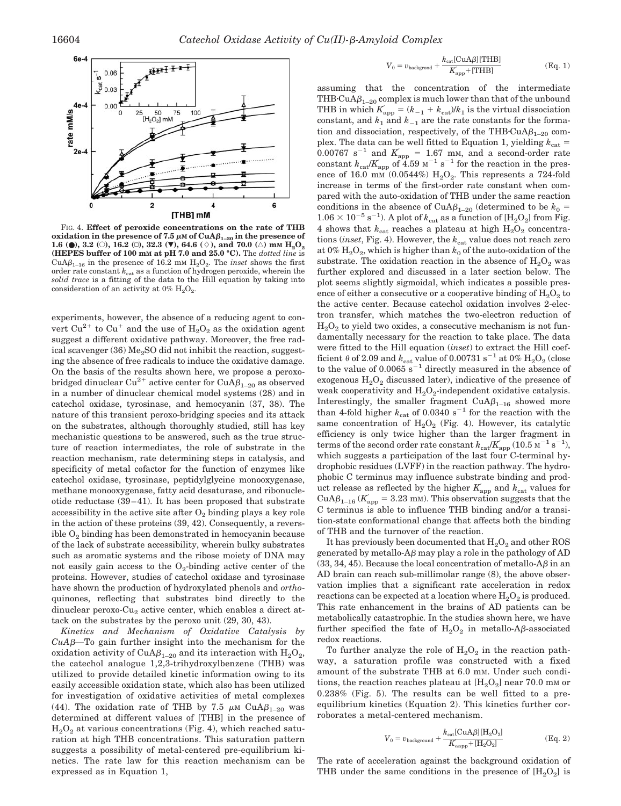

FIG. 4. **Effect of peroxide concentrations on the rate of THB oxidation in the presence of 7.5**  $\mu$ M of  $\text{CuA}\beta_{1-20}$  in the presence of **1.6 (0), 3.2** (0), **16.2** ( $\Box$ ), **32.3** ( $\blacktriangledown$ ), **64.6** ( $\Diamond$ ), and **70.0** ( $\triangle$ ) mM  $H_2O_2$ **(HEPES buffer of 100 mM at pH 7.0 and 25.0 °C).** The *dotted line* is CuA $\beta_{1-16}$  in the presence of 16.2 mm  $H_2O_2$ . The *inset* shows the first order rate constant  $k_{\text{cat}}$  as a function of hydrogen peroxide, wherein the *solid trace* is a fitting of the data to the Hill equation by taking into consideration of an activity at  $0\%$  H<sub>2</sub>O<sub>2</sub>.

experiments, however, the absence of a reducing agent to convert  $Cu^{2+}$  to  $Cu^{+}$  and the use of  $H_{2}O_{2}$  as the oxidation agent suggest a different oxidative pathway. Moreover, the free radical scavenger (36) Me<sub>2</sub>SO did not inhibit the reaction, suggesting the absence of free radicals to induce the oxidative damage. On the basis of the results shown here, we propose a peroxobridged dinuclear Cu<sup>2+</sup> active center for CuA $\beta_{1-20}$  as observed in a number of dinuclear chemical model systems (28) and in catechol oxidase, tyrosinase, and hemocyanin (37, 38). The nature of this transient peroxo-bridging species and its attack on the substrates, although thoroughly studied, still has key mechanistic questions to be answered, such as the true structure of reaction intermediates, the role of substrate in the reaction mechanism, rate determining steps in catalysis, and specificity of metal cofactor for the function of enzymes like catechol oxidase, tyrosinase, peptidylglycine monooxygenase, methane monooxygenase, fatty acid desaturase, and ribonucleotide reductase (39–41). It has been proposed that substrate accessibility in the active site after  $O_2$  binding plays a key role in the action of these proteins (39, 42). Consequently, a reversible  $O<sub>2</sub>$  binding has been demonstrated in hemocyanin because of the lack of substrate accessibility, wherein bulky substrates such as aromatic systems and the ribose moiety of DNA may not easily gain access to the  $O_2$ -binding active center of the proteins. However, studies of catechol oxidase and tyrosinase have shown the production of hydroxylated phenols and *ortho*quinones, reflecting that substrates bind directly to the dinuclear peroxo-Cu<sub>2</sub> active center, which enables a direct attack on the substrates by the peroxo unit (29, 30, 43).

*Kinetics and Mechanism of Oxidative Catalysis by CuA—*To gain further insight into the mechanism for the oxidation activity of CuA $\beta_{1-20}$  and its interaction with  $H_2O_2$ , the catechol analogue 1,2,3-trihydroxylbenzene (THB) was utilized to provide detailed kinetic information owing to its easily accessible oxidation state, which also has been utilized for investigation of oxidative activities of metal complexes (44). The oxidation rate of THB by 7.5  $\mu$ M CuA $\beta_{1-20}$  was determined at different values of [THB] in the presence of  $H<sub>2</sub>O<sub>2</sub>$  at various concentrations (Fig. 4), which reached saturation at high THB concentrations. This saturation pattern suggests a possibility of metal-centered pre-equilibrium kinetics. The rate law for this reaction mechanism can be expressed as in Equation 1,

$$
V_0 = v_{\text{background}} + \frac{k_{\text{cat}}[\text{CuA}\beta][\text{THB}]}{K_{\text{app}} + [\text{THB}]} \tag{Eq. 1}
$$

assuming that the concentration of the intermediate THB·CuA $\beta_{1-20}$  complex is much lower than that of the unbound THB in which  $K_{\text{app}} = (k_{-1} + k_{\text{cat}})/k_1$  is the virtual dissociation constant, and  $k_1$  and  $k_{-1}$  are the rate constants for the formation and dissociation, respectively, of the THB $\text{CuA}\beta_{1-20}$  complex. The data can be well fitted to Equation 1, yielding  $k_{\text{cat}} =$  $0.00767$  s<sup>-1</sup> and  $K_{app}$  = 1.67 mm, and a second-order rate constant  $k_{\text{cat}}/K_{\text{app}}$  of 4.59  $\text{M}^{-1}$  s<sup>-1</sup> for the reaction in the presence of 16.0 mm  $(0.0544\%)$  H<sub>2</sub>O<sub>2</sub>. This represents a 724-fold increase in terms of the first-order rate constant when compared with the auto-oxidation of THB under the same reaction conditions in the absence of  $\mathrm{CuA}\beta_{1-20}$  (determined to be  $k_0=$  $1.06\times 10^{-5}$  s $^{-1}$  ). A plot of  $k_{\mathrm{cat}}$  as a function of  $[\mathrm{H}_{2}\mathrm{O}_{2}]$  from Fig. 4 shows that  $k_{\text{cat}}$  reaches a plateau at high  $H_2O_2$  concentrations (*inset*, Fig. 4). However, the  $k_{\text{cat}}$  value does not reach zero at  $0\%$  H<sub>2</sub>O<sub>2</sub>, which is higher than  $k_0$  of the auto-oxidation of the substrate. The oxidation reaction in the absence of  $H_2O_2$  was further explored and discussed in a later section below. The plot seems slightly sigmoidal, which indicates a possible presence of either a consecutive or a cooperative binding of  $H_2O_2$  to the active center. Because catechol oxidation involves 2-electron transfer, which matches the two-electron reduction of  $H<sub>2</sub>O<sub>2</sub>$  to yield two oxides, a consecutive mechanism is not fundamentally necessary for the reaction to take place. The data were fitted to the Hill equation (*inset*) to extract the Hill coefficient  $\theta$  of 2.09 and  $k_{\mathrm{cat}}$  value of 0.00731 s $^{-1}$  at 0%  $\mathrm{H}_2\mathrm{O}_2$  (close to the value of  $0.0065$  s<sup>-1</sup> directly measured in the absence of exogenous  $H_2O_2$  discussed later), indicative of the presence of weak cooperativity and  $H_2O_2$ -independent oxidative catalysis. Interestingly, the smaller fragment  $CuA\beta_{1-16}$  showed more than 4-fold higher  $k_{\text{cat}}$  of 0.0340 s<sup>-1</sup> for the reaction with the same concentration of  $H_2O_2$  (Fig. 4). However, its catalytic efficiency is only twice higher than the larger fragment in  ${\rm terms~of~the~second~order~rate~constant}$   $k_{\rm cat}/K_{\rm app}^{'}$  ( $10.5$   ${\rm M}^{-1}$   ${\rm s}^{-1}$ ), which suggests a participation of the last four C-terminal hydrophobic residues (LVFF) in the reaction pathway. The hydrophobic C terminus may influence substrate binding and product release as reflected by the higher  $K_{\text{app}}$  and  $k_{\text{cat}}$  values for  $CuA\beta_{1-16}$  ( $K_{app}$  = 3.23 mm). This observation suggests that the C terminus is able to influence THB binding and/or a transition-state conformational change that affects both the binding of THB and the turnover of the reaction.

It has previously been documented that  $H_2O_2$  and other ROS generated by metallo-A $\beta$  may play a role in the pathology of AD (33, 34, 45). Because the local concentration of metallo-A $\beta$  in an AD brain can reach sub-millimolar range (8), the above observation implies that a significant rate acceleration in redox reactions can be expected at a location where  $H_2O_2$  is produced. This rate enhancement in the brains of AD patients can be metabolically catastrophic. In the studies shown here, we have further specified the fate of  $H_2O_2$  in metallo-A $\beta$ -associated redox reactions.

To further analyze the role of  $H_2O_2$  in the reaction pathway, a saturation profile was constructed with a fixed amount of the substrate THB at 6.0 mM. Under such conditions, the reaction reaches plateau at  $[H_2O_2]$  near 70.0 mm or 0.238% (Fig. 5). The results can be well fitted to a preequilibrium kinetics (Equation 2). This kinetics further corroborates a metal-centered mechanism.

$$
V_0 = v_{\text{background}} + \frac{k_{\text{cat}}[\text{CuA}\beta][\text{H}_2\text{O}_2]}{K_{\text{capp}} + [\text{H}_2\text{O}_2]}
$$
(Eq. 2)

The rate of acceleration against the background oxidation of THB under the same conditions in the presence of  $[H_2O_2]$  is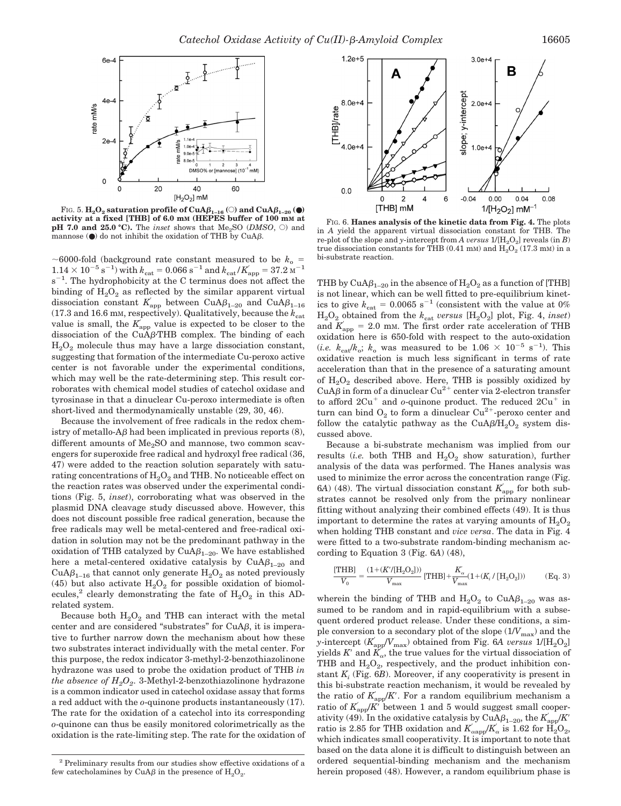

FIG. 5.  $\mathbf{H}_2\mathbf{O}_2$  saturation profile of  $\mathbf{CuA}\beta_{1-16}$  ( $\odot$ ) and  $\mathbf{CuA}\beta_{1-20}$  ( $\bullet$ ) activity at a fixed [THB] of 6.0 mM (HEPES buffer of 100 mM at **pH 7.0 and 25.0 °C).** The *inset* shows that  $Me<sub>2</sub>SO$  (*DMSO*,  $\odot$ ) and mannose  $($   $)$  do not inhibit the oxidation of THB by CuA $\beta$ .

 $\sim$  6000-fold (background rate constant measured to be  $k_0$  =  $1.14 \times 10^{-5}$  s<sup>-1</sup>) with  $k_{\text{cat}} = 0.066$  s<sup>-1</sup> and  $k_{\text{cat}}/K_{\text{app}} = 37.2$  M<sup>-1</sup>  $s^{-1}$ . The hydrophobicity at the C terminus does not affect the binding of  $H_2O_2$  as reflected by the similar apparent virtual dissociation constant  $K_{\text{app}}$  between CuA $\beta_{1-20}$  and CuA $\beta_{1-16}$ (17.3 and 16.6 mm, respectively). Qualitatively, because the  $k_{\text{cat}}$ value is small, the  $K_{\text{app}}$  value is expected to be closer to the dissociation of the  $CuA\beta$ -THB complex. The binding of each  $H<sub>2</sub>O<sub>2</sub>$  molecule thus may have a large dissociation constant, suggesting that formation of the intermediate Cu-peroxo active center is not favorable under the experimental conditions, which may well be the rate-determining step. This result corroborates with chemical model studies of catechol oxidase and tyrosinase in that a dinuclear Cu-peroxo intermediate is often short-lived and thermodynamically unstable (29, 30, 46).

Because the involvement of free radicals in the redox chemistry of metallo- $\Delta \beta$  had been implicated in previous reports (8), different amounts of  $Me<sub>2</sub>SO$  and mannose, two common scavengers for superoxide free radical and hydroxyl free radical (36, 47) were added to the reaction solution separately with saturating concentrations of  $H_2O_2$  and THB. No noticeable effect on the reaction rates was observed under the experimental conditions (Fig. 5, *inset*), corroborating what was observed in the plasmid DNA cleavage study discussed above. However, this does not discount possible free radical generation, because the free radicals may well be metal-centered and free-radical oxidation in solution may not be the predominant pathway in the oxidation of THB catalyzed by  $CuA\beta_{1-20}$ . We have established here a metal-centered oxidative catalysis by  $CuA\beta_{1-20}$  and  $CuA\beta_{1-16}$  that cannot only generate  $H_2O_2$  as noted previously (45) but also activate  $H_2O_2$  for possible oxidation of biomolecules,<sup>2</sup> clearly demonstrating the fate of  $H_2O_2$  in this ADrelated system.

Because both  $H_2O_2$  and THB can interact with the metal center and are considered "substrates" for  $CuA\beta$ , it is imperative to further narrow down the mechanism about how these two substrates interact individually with the metal center. For this purpose, the redox indicator 3-methyl-2-benzothiazolinone hydrazone was used to probe the oxidation product of THB *in the absence of*  $H_2O_2$ *.* 3-Methyl-2-benzothiazolinone hydrazone is a common indicator used in catechol oxidase assay that forms a red adduct with the *o*-quinone products instantaneously (17). The rate for the oxidation of a catechol into its corresponding *o*-quinone can thus be easily monitored colorimetrically as the oxidation is the rate-limiting step. The rate for the oxidation of



FIG. 6. **Hanes analysis of the kinetic data from Fig. 4.** The plots in *A* yield the apparent virtual dissociation constant for THB. The re-plot of the slope and *y*-intercept from *A versus*  $1/[H_2O_2]$  reveals (in *B*) true dissociation constants for THB (0.41 mM) and  $H_2O_2$  (17.3 mM) in a bi-substrate reaction.

THB by CuA $\beta_{1-20}$  in the absence of  $\mathrm{H}_{2}\mathrm{O}_{2}$  as a function of [THB] is not linear, which can be well fitted to pre-equilibrium kinetics to give  $k_{\text{cat}} = 0.0065 \text{ s}^{-1}$  (consistent with the value at 0%)  $H_2O_2$  obtained from the  $k_{cat}$  *versus* [H<sub>2</sub>O<sub>2</sub>] plot, Fig. 4, *inset*) and  $K_{\text{app}}$  = 2.0 mm. The first order rate acceleration of THB oxidation here is 650-fold with respect to the auto-oxidation (*i.e.*  $k_{\text{cat}}/k_o$ ;  $k_o$  was measured to be  $1.06 \times 10^{-5} \text{ s}^{-1}$ ). This oxidative reaction is much less significant in terms of rate acceleration than that in the presence of a saturating amount of  $H_2O_2$  described above. Here, THB is possibly oxidized by CuA $\beta$  in form of a dinuclear Cu<sup>2+</sup> center via 2-electron transfer to afford  $2Cu<sup>+</sup>$  and *o*-quinone product. The reduced  $2Cu<sup>+</sup>$  in turn can bind  $O_2$  to form a dinuclear  $Cu^{2+}$ -peroxo center and follow the catalytic pathway as the CuA $\beta$ /H<sub>2</sub>O<sub>2</sub> system discussed above.

Because a bi-substrate mechanism was implied from our results (*i.e.* both THB and  $H_2O_2$  show saturation), further analysis of the data was performed. The Hanes analysis was used to minimize the error across the concentration range (Fig. 6A) (48). The virtual dissociation constant  $K_{\text{app}}$  for both substrates cannot be resolved only from the primary nonlinear fitting without analyzing their combined effects (49). It is thus important to determine the rates at varying amounts of  $H_2O_2$ when holding THB constant and *vice versa*. The data in Fig. 4 were fitted to a two-substrate random-binding mechanism according to Equation 3 (Fig. 6*A*) (48),

$$
\frac{[{\rm THB}]}{V_0} = \frac{(1 + (K'/{\rm [H_2O_2]}))}{V_{\rm max}} \, [{\rm THB}] + \frac{K_{\alpha}}{V_{\rm max}} (1 + (K_i\,/\,[{\rm H_2O_2]})) \eqno ({\rm Eq.~3})
$$

wherein the binding of THB and  $H_2O_2$  to  $CuA\beta_{1-20}$  was assumed to be random and in rapid-equilibrium with a subsequent ordered product release. Under these conditions, a simple conversion to a secondary plot of the slope  $(1/V_{\text{max}})$  and the *y*-intercept  $(K_{\text{app}}'V_{\text{max}})$  obtained from Fig. 6*A versus*  $1/[H_2O_2]$ yields  $K'$  and  $K'_{\alpha}$ , the true values for the virtual dissociation of THB and  $H_2O_2$ , respectively, and the product inhibition constant *Ki* (Fig. 6*B*). Moreover, if any cooperativity is present in this bi-substrate reaction mechanism, it would be revealed by the ratio of  $K_{\text{app}}/K'$ . For a random equilibrium mechanism a ratio of  $K_{\text{app}}/K$  between 1 and 5 would suggest small cooperativity (49). In the oxidative catalysis by  $\text{CuA}\beta_{1-20}$ , the  $K_{\text{app}}/K'$ ratio is 2.85 for THB oxidation and  $K_{\alpha \text{app}}^{\dagger}/K_{\alpha}^{\dagger}$  is 1.62 for  $\dot{H}_2 O_2$ , which indicates small cooperativity. It is important to note that based on the data alone it is difficult to distinguish between an ordered sequential-binding mechanism and the mechanism herein proposed (48). However, a random equilibrium phase is

<sup>2</sup> Preliminary results from our studies show effective oxidations of a few catecholamines by CuA $\beta$  in the presence of  $H_2O_2$ .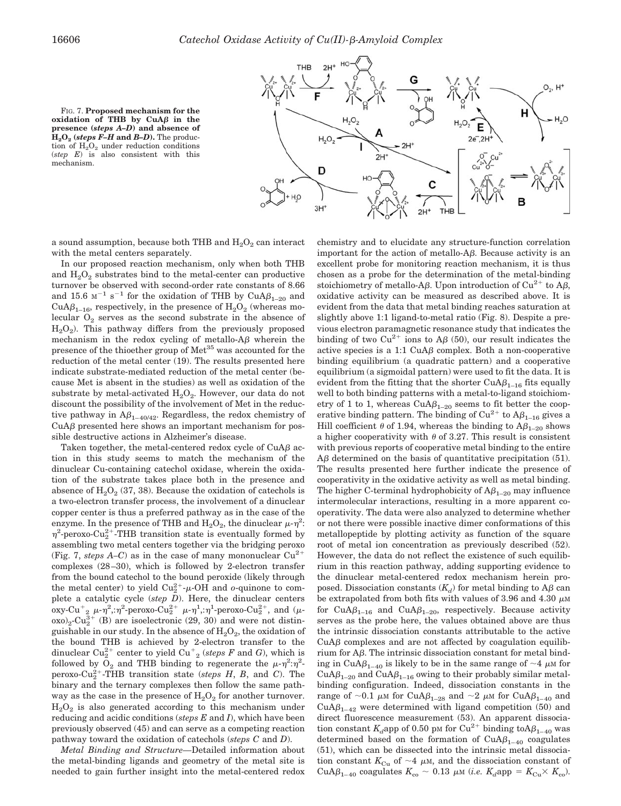

FIG. 7. **Proposed mechanism for the**  $ox$ **idation**  $o\bar{f}$  THB by CuA $\beta$  in the **presence (***steps A–D***) and absence of**  $H<sub>2</sub>O<sub>2</sub>$  (*steps F–H* and *B–D*). The production of  $H_2O_2$  under reduction conditions (*step E*) is also consistent with this mechanism.

a sound assumption, because both THB and  $H_2O_2$  can interact with the metal centers separately.

In our proposed reaction mechanism, only when both THB and  $H_2O_2$  substrates bind to the metal-center can productive turnover be observed with second-order rate constants of 8.66 and 15.6  $\text{M}^{-1}$  s<sup>-1</sup> for the oxidation of THB by CuA $\beta_{1-20}$  and CuA $\beta_{1-16}$ , respectively, in the presence of  $H_2O_2$  (whereas molecular  $O_2$  serves as the second substrate in the absence of  $H<sub>2</sub>O<sub>2</sub>$ ). This pathway differs from the previously proposed mechanism in the redox cycling of metallo- $\mathcal{A}\beta$  wherein the presence of the thioether group of Met<sup>35</sup> was accounted for the reduction of the metal center (19). The results presented here indicate substrate-mediated reduction of the metal center (because Met is absent in the studies) as well as oxidation of the substrate by metal-activated  $H_2O_2$ . However, our data do not discount the possibility of the involvement of Met in the reductive pathway in  $A\beta_{1-40/42}$ . Regardless, the redox chemistry of  $CuA\beta$  presented here shows an important mechanism for possible destructive actions in Alzheimer's disease.

Taken together, the metal-centered redox cycle of  $CuA\beta$  action in this study seems to match the mechanism of the dinuclear Cu-containing catechol oxidase, wherein the oxidation of the substrate takes place both in the presence and absence of  $H_2O_2$  (37, 38). Because the oxidation of catechols is a two-electron transfer process, the involvement of a dinuclear copper center is thus a preferred pathway as in the case of the enzyme. In the presence of THB and  $H_2O_2$ , the dinuclear  $\mu$ - $\eta^2$ :  $\eta^2$ -peroxo-Cu<sub>2</sub><sup>2+</sup>-THB transition state is eventually formed by assembling two metal centers together via the bridging peroxo (Fig. 7, *steps A–C*) as in the case of many mononuclear  $Cu^{2+}$ complexes (28–30), which is followed by 2-electron transfer from the bound catechol to the bound peroxide (likely through the metal center) to yield  $Cu_2^{2+}-\mu$ -OH and *o*-quinone to complete a catalytic cycle (*step D*). Here, the dinuclear centers  $\mathrm{oxy-Cu}^+_{2}$   $\mu$ - $\eta^2$ ,: $\eta^2$ -peroxo-Cu $^{2+}_{2}$   $\mu$ - $\eta^1$ ,: $\eta^1$ -peroxo-Cu $^{2+}_{2}$ , and ( $\mu$ - $\exp(2\pi)^{2-\text{Cu}_2^{3+}}$  (B) are isoelectronic (29, 30) and were not distinguishable in our study. In the absence of  $H_2O_2$ , the oxidation of the bound THB is achieved by 2-electron transfer to the dinuclear  $\text{Cu}_2^{2+}$  center to yield  $\text{Cu}_2^+$  (*steps F* and *G*), which is followed by  $O_2$  and THB binding to regenerate the  $\mu$ - $\eta^2$ : $\eta^2$ peroxo-Cu<sub>2</sub><sup>+</sup>-THB transition state (*steps H*, *B*, and *C*). The binary and the ternary complexes then follow the same pathway as the case in the presence of  $H_2O_2$  for another turnover.  $H<sub>2</sub>O<sub>2</sub>$  is also generated according to this mechanism under reducing and acidic conditions (*steps E* and *I*), which have been previously observed (45) and can serve as a competing reaction pathway toward the oxidation of catechols (*steps C* and *D*).

*Metal Binding and Structure—*Detailed information about the metal-binding ligands and geometry of the metal site is needed to gain further insight into the metal-centered redox chemistry and to elucidate any structure-function correlation important for the action of metallo- $A\beta$ . Because activity is an excellent probe for monitoring reaction mechanism, it is thus chosen as a probe for the determination of the metal-binding stoichiometry of metallo-A $\beta$ . Upon introduction of Cu<sup>2+</sup> to A $\beta$ , oxidative activity can be measured as described above. It is evident from the data that metal binding reaches saturation at slightly above 1:1 ligand-to-metal ratio (Fig. 8). Despite a previous electron paramagnetic resonance study that indicates the binding of two  $Cu^{2+}$  ions to A $\beta$  (50), our result indicates the active species is a 1:1  $CuA\beta$  complex. Both a non-cooperative binding equilibrium (a quadratic pattern) and a cooperative equilibrium (a sigmoidal pattern) were used to fit the data. It is evident from the fitting that the shorter  $CuA\beta_{1-16}$  fits equally well to both binding patterns with a metal-to-ligand stoichiometry of 1 to 1, whereas  $CuA\beta_{1-20}$  seems to fit better the cooperative binding pattern. The binding of  $Cu^{2+}$  to  $A\beta_{1-16}$  gives a Hill coefficient  $\theta$  of 1.94, whereas the binding to  $A\beta_{1-20}$  shows a higher cooperativity with  $\theta$  of 3.27. This result is consistent with previous reports of cooperative metal binding to the entire  $\Delta\beta$  determined on the basis of quantitative precipitation (51). The results presented here further indicate the presence of cooperativity in the oxidative activity as well as metal binding. The higher C-terminal hydrophobicity of  $A\beta_{1-20}$  may influence intermolecular interactions, resulting in a more apparent cooperativity. The data were also analyzed to determine whether or not there were possible inactive dimer conformations of this metallopeptide by plotting activity as function of the square root of metal ion concentration as previously described (52). However, the data do not reflect the existence of such equilibrium in this reaction pathway, adding supporting evidence to the dinuclear metal-centered redox mechanism herein proposed. Dissociation constants  $(K_d)$  for metal binding to A $\beta$  can be extrapolated from both fits with values of 3.96 and 4.30  $\mu$ M for CuA $\beta_{1-16}$  and CuA $\beta_{1-20}$ , respectively. Because activity serves as the probe here, the values obtained above are thus the intrinsic dissociation constants attributable to the active  $CuA\beta$  complexes and are not affected by coagulation equilibrium for  $A\beta$ . The intrinsic dissociation constant for metal binding in $\mathrm{CuA}\beta_{1-40}$  is likely to be in the same range of  ${\sim}4$   $\mu\text{m}$  for  $CuA\beta_{1-20}$  and  $CuA\beta_{1-16}$  owing to their probably similar metalbinding configuration. Indeed, dissociation constants in the range of  $\sim$ 0.1  $\mu$ M for CuA $\beta_{1-28}$  and  $\sim$ 2  $\mu$ M for CuA $\beta_{1-40}$  and CuA $\beta_{1-42}$  were determined with ligand competition (50) and direct fluorescence measurement (53). An apparent dissociation constant  $K_d$ app of 0.50 pm for Cu<sup>2+</sup> binding toA $\beta_{1-40}$  was determined based on the formation of  $CuA\beta_{1-40}$  coagulates (51), which can be dissected into the intrinsic metal dissociation constant  $K_{\text{Cu}}$  of  $\sim$  4  $\mu$ M, and the dissociation constant of CuA $\beta_{1-40}$  coagulates  $K_{\rm co} \sim 0.13$   $\mu$ M (*i.e.*  $K_d$ app =  $K_{\rm Cu} \times K_{\rm co}$ ).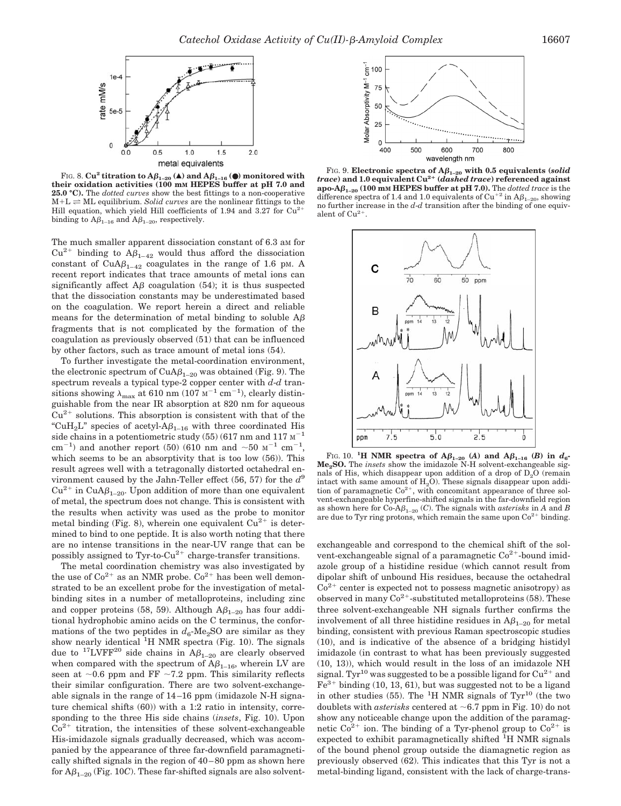

FIG. 8.  $Cu^2$  **titration to A** $\beta_{1-20}$  (A) and  $A\beta_{1-16}$  (O) monitored with **their oxidation activities (100 mM HEPES buffer at pH 7.0 and 25.0 °C).** The *dotted curves* show the best fittings to a non-cooperative  $M+L \rightleftharpoons ML$  equilibrium. *Solid curves* are the nonlinear fittings to the Hill equation, which yield Hill coefficients of 1.94 and 3.27 for Cu<sup>2</sup> binding to  $A\beta_{1-16}$  and  $A\beta_{1-20}$ , respectively.

The much smaller apparent dissociation constant of 6.3 am for  $Cu^{2+}$  binding to  $A\beta_{1-42}$  would thus afford the dissociation constant of  $CuA\beta_{1-42}$  coagulates in the range of 1.6 pm. A recent report indicates that trace amounts of metal ions can significantly affect  $\overline{AB}$  coagulation (54); it is thus suspected that the dissociation constants may be underestimated based on the coagulation. We report herein a direct and reliable means for the determination of metal binding to soluble  $\overrightarrow{AB}$ fragments that is not complicated by the formation of the coagulation as previously observed (51) that can be influenced by other factors, such as trace amount of metal ions (54).

To further investigate the metal-coordination environment, the electronic spectrum of  $CuA\beta_{1-20}$  was obtained (Fig. 9). The spectrum reveals a typical type-2 copper center with *d*-*d* transitions showing  $\lambda_{\text{max}}$  at 610 nm (107  $\text{M}^{-1}$  cm<sup>-1</sup>), clearly distinguishable from the near IR absorption at 820 nm for aqueous  $Cu<sup>2+</sup>$  solutions. This absorption is consistent with that of the "CuH<sub>2</sub>L" species of acetyl- $A\beta_{1-16}$  with three coordinated His side chains in a potentiometric study  $(55)$  (617 nm and 117  $\text{M}^{-1}$ ) cm<sup>-1</sup>) and another report (50) (610 nm and  $\sim$  50  $\text{M}^{-1}$  cm<sup>-1</sup>, which seems to be an absorptivity that is too low (56)). This result agrees well with a tetragonally distorted octahedral environment caused by the Jahn-Teller effect (56, 57) for the *d*<sup>9</sup>  $Cu^{2+}$  in  $CuA\beta_{1-20}$ . Upon addition of more than one equivalent of metal, the spectrum does not change. This is consistent with the results when activity was used as the probe to monitor metal binding (Fig. 8), wherein one equivalent  $Cu^{2+}$  is determined to bind to one peptide. It is also worth noting that there are no intense transitions in the near-UV range that can be possibly assigned to Tyr-to- $Cu^{2+}$  charge-transfer transitions.

The metal coordination chemistry was also investigated by the use of  $Co^{2+}$  as an NMR probe.  $Co^{2+}$  has been well demonstrated to be an excellent probe for the investigation of metalbinding sites in a number of metalloproteins, including zinc and copper proteins (58, 59). Although  $A\beta_{1-20}$  has four additional hydrophobic amino acids on the C terminus, the conformations of the two peptides in  $d_6$ -Me<sub>2</sub>SO are similar as they show nearly identical <sup>1</sup>H NMR spectra (Fig. 10). The signals due to <sup>17</sup>LVFF<sup>20</sup> side chains in  $A\beta_{1-20}$  are clearly observed when compared with the spectrum of  $A\beta_{1-16}$ , wherein LV are seen at  $\sim 0.6$  ppm and FF  $\sim 7.2$  ppm. This similarity reflects their similar configuration. There are two solvent-exchangeable signals in the range of 14–16 ppm (imidazole N-H signature chemical shifts (60)) with a 1:2 ratio in intensity, corresponding to the three His side chains (*insets*, Fig. 10). Upon  $Co<sup>2+</sup>$  titration, the intensities of these solvent-exchangeable His-imidazole signals gradually decreased, which was accompanied by the appearance of three far-downfield paramagnetically shifted signals in the region of 40–80 ppm as shown here for  $A\beta_{1-20}$  (Fig. 10*C*). These far-shifted signals are also solvent-



FIG. 9. **Electronic spectra of**  $A\beta_{1-20}$  **with 0.5 equivalents (***solid***)** *trace***) and 1.0 equivalent Cu2**- **(***dashed trace***) referenced against**  $\mathbf{apo}\text{-}\mathbf{A}\boldsymbol{\beta}_{1-20}$  (100 mm **HEPES** buffer at pH 7.0). The *dotted trace* is the difference spectra of 1.4 and 1.0 equivalents of Cu<sup>+2</sup> in  $A\beta_{1-20}$ , showing no further increase in the *d*-*d* transition after the binding of one equivalent of  $Cu^{2+}$ .



FIG. 10. **<sup>1</sup>H NMR spectra of**  $A\beta_{1-20}$  **(***A***) and**  $A\beta_{1-16}$  **(***B***) in**  $d_6$ **-Me2SO.** The *insets* show the imidazole N-H solvent-exchangeable signals of His, which disappear upon addition of a drop of  $D<sub>2</sub>O$  (remain intact with same amount of  $H_2O$ ). These signals disappear upon addition of paramagnetic  $Co^{2+}$ , with concomitant appearance of three solvent-exchangeable hyperfine-shifted signals in the far-downfield region as shown here for Co-A $\beta_{1-20}$  (*C*). The signals with *asterisks* in *A* and *B* are due to Tyr ring protons, which remain the same upon  $Co^{2+}$  binding.

exchangeable and correspond to the chemical shift of the solvent-exchangeable signal of a paramagnetic  $Co<sup>2+</sup>$ -bound imidazole group of a histidine residue (which cannot result from dipolar shift of unbound His residues, because the octahedral  $Co<sup>2+</sup>$  center is expected not to possess magnetic anisotropy) as observed in many  $Co^{2+}$ -substituted metalloproteins (58). These three solvent-exchangeable NH signals further confirms the involvement of all three histidine residues in  $A\beta_{1-20}$  for metal binding, consistent with previous Raman spectroscopic studies (10), and is indicative of the absence of a bridging histidyl imidazole (in contrast to what has been previously suggested (10, 13)), which would result in the loss of an imidazole NH signal. Tyr<sup>10</sup> was suggested to be a possible ligand for  $Cu^{2+}$  and  $Fe<sup>3+</sup> binding (10, 13, 61), but was suggested not to be a ligand$ in other studies (55). The <sup>1</sup>H NMR signals of  $\text{Ty}^{\text{10}}$  (the two doublets with *asterisks* centered at  $\sim 6.7$  ppm in Fig. 10) do not show any noticeable change upon the addition of the paramagnetic  $Co^{2+}$  ion. The binding of a Tyr-phenol group to  $Co^{2+}$  is expected to exhibit paramagnetically shifted <sup>1</sup>H NMR signals of the bound phenol group outside the diamagnetic region as previously observed (62). This indicates that this Tyr is not a metal-binding ligand, consistent with the lack of charge-trans-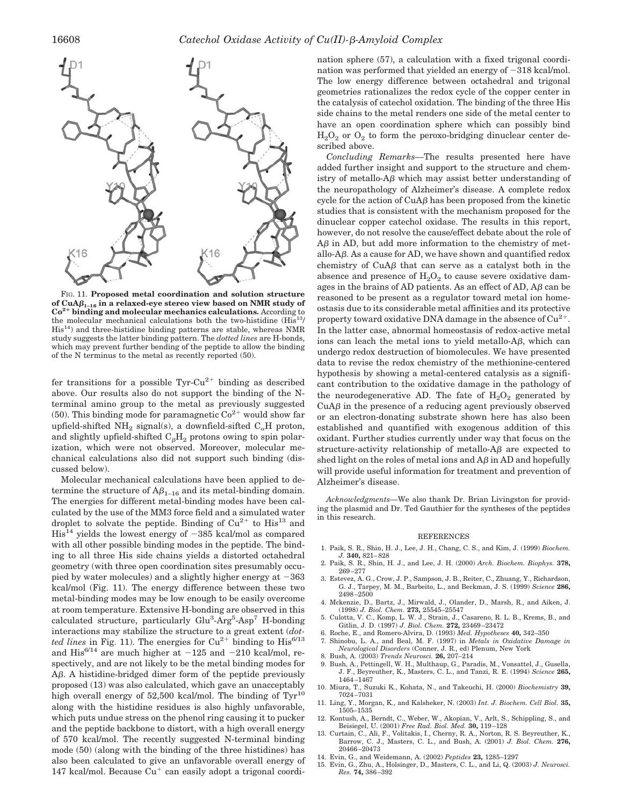

FIG. 11. **Proposed metal coordination and solution structure** of  $CuA\beta_{1-16}$  in a relaxed-eye stereo view based on NMR study of **Co2 binding and molecular mechanics calculations.** According to the molecular mechanical calculations both the two-histidine (His<sup>13</sup>/ His14) and three-histidine binding patterns are stable, whereas NMR study suggests the latter binding pattern. The *dotted lines* are H-bonds, which may prevent further bending of the peptide to allow the binding of the N terminus to the metal as recently reported (50).

fer transitions for a possible  $Tyr$ -Cu<sup>2+</sup> binding as described above. Our results also do not support the binding of the Nterminal amino group to the metal as previously suggested (50). This binding mode for paramagnetic  $Co<sup>2+</sup>$  would show far upfield-shifted  $NH_2$  signal(s), a downfield-sifted  $C_\alpha H$  proton, and slightly upfield-shifted  $C_{\beta}H_2$  protons owing to spin polarization, which were not observed. Moreover, molecular mechanical calculations also did not support such binding (discussed below).

Molecular mechanical calculations have been applied to determine the structure of  $A\beta_{1-16}$  and its metal-binding domain. The energies for different metal-binding modes have been calculated by the use of the MM3 force field and a simulated water droplet to solvate the peptide. Binding of  $Cu^{2+}$  to His<sup>13</sup> and  $His<sup>14</sup>$  yields the lowest energy of  $-385$  kcal/mol as compared with all other possible binding modes in the peptide. The binding to all three His side chains yields a distorted octahedral geometry (with three open coordination sites presumably occupied by water molecules) and a slightly higher energy at  $-363$ kcal/mol (Fig. 11). The energy difference between these two metal-binding modes may be low enough to be easily overcome at room temperature. Extensive H-bonding are observed in this calculated structure, particularly Glu<sup>3</sup>-Arg<sup>5</sup>-Asp<sup>7</sup> H-bonding interactions may stabilize the structure to a great extent (*dotted lines* in Fig. 11). The energies for  $Cu^{2+}$  binding to  $His^{6/13}$ and His $^{6/14}$  are much higher at  $-125$  and  $-210$  kcal/mol, respectively, and are not likely to be the metal binding modes for A. A histidine-bridged dimer form of the peptide previously proposed (13) was also calculated, which gave an unacceptably high overall energy of  $52,500$  kcal/mol. The binding of  $Tyr^{10}$ along with the histidine residues is also highly unfavorable, which puts undue stress on the phenol ring causing it to pucker and the peptide backbone to distort, with a high overall energy of 570 kcal/mol. The recently suggested N-terminal binding mode (50) (along with the binding of the three histidines) has also been calculated to give an unfavorable overall energy of 147 kcal/mol. Because  $Cu<sup>+</sup>$  can easily adopt a trigonal coordination sphere (57), a calculation with a fixed trigonal coordination was performed that yielded an energy of  $-318$  kcal/mol. The low energy difference between octahedral and trigonal geometries rationalizes the redox cycle of the copper center in the catalysis of catechol oxidation. The binding of the three His side chains to the metal renders one side of the metal center to have an open coordination sphere which can possibly bind  $H_2O_2$  or  $O_2$  to form the peroxo-bridging dinuclear center described above.

*Concluding Remarks—*The results presented here have added further insight and support to the structure and chemistry of metallo- $A\beta$  which may assist better understanding of the neuropathology of Alzheimer's disease. A complete redox cycle for the action of  $CuA\beta$  has been proposed from the kinetic studies that is consistent with the mechanism proposed for the dinuclear copper catechol oxidase. The results in this report, however, do not resolve the cause/effect debate about the role of  $\Delta\beta$  in AD, but add more information to the chemistry of metallo- $\Delta\beta$ . As a cause for AD, we have shown and quantified redox chemistry of  $CuA\beta$  that can serve as a catalyst both in the absence and presence of  $H_2O_2$  to cause severe oxidative damages in the brains of AD patients. As an effect of AD,  $\Delta\beta$  can be reasoned to be present as a regulator toward metal ion homeostasis due to its considerable metal affinities and its protective property toward oxidative DNA damage in the absence of  $Cu^{2+}$ . In the latter case, abnormal homeostasis of redox-active metal ions can leach the metal ions to yield metallo- $A\beta$ , which can undergo redox destruction of biomolecules. We have presented data to revise the redox chemistry of the methionine-centered hypothesis by showing a metal-centered catalysis as a significant contribution to the oxidative damage in the pathology of the neurodegenerative AD. The fate of  $H_2O_2$  generated by  $CuA\beta$  in the presence of a reducing agent previously observed or an electron-donating substrate shown here has also been established and quantified with exogenous addition of this oxidant. Further studies currently under way that focus on the structure-activity relationship of metallo- $A\beta$  are expected to shed light on the roles of metal ions and  $A\beta$  in AD and hopefully will provide useful information for treatment and prevention of Alzheimer's disease.

*Acknowledgments—*We also thank Dr. Brian Livingston for providing the plasmid and Dr. Ted Gauthier for the syntheses of the peptides in this research.

## REFERENCES

- 1. Paik, S. R., Shin, H. J., Lee, J. H., Chang, C. S., and Kim, J. (1999) *Biochem. J.* **340,** 821–828
- 2. Paik, S. R., Shin, H. J., and Lee, J. H. (2000) *Arch. Biochem. Biophys.* **378,** 269–277
- 3. Estevez, A. G., Crow, J. P., Sampson, J. B., Reiter, C., Zhuang, Y., Richardson, G. J., Tarpey, M. M., Barbeito, L., and Beckman, J. S. (1999) *Science* **286,** 2498–2500
- 4. Mckenzie, D., Bartz, J., Mirwald, J., Olander, D., Marsh, R., and Aiken, J. (1998) *J. Biol. Chem.* **273,** 25545–25547
- 5. Culotta, V. C., Komp, L. W. J., Strain, J., Casareno, R. L. B., Krems, B., and Gitlin, J. D. (1997) *J. Biol. Chem.* **272,** 23469–23472
- 6. Roche, E., and Romero-Alvira, D. (1993) *Med. Hypotheses* **40,** 342–350
- 7. Shinobu, L. A., and Beal, M. F. (1997) in *Metals in Oxidative Damage in Neurological Disorders* (Conner, J. R., ed) Plenum, New York
- 8. Bush, A. (2003) *Trends Neurosci.* **26,** 207–214
- 9. Bush, A., Pettingell, W. H., Multhaup, G., Paradis, M., Vonsattel, J., Gusella, J. F., Beyreuther, K., Masters, C. L., and Tanzi, R. E. (1994) *Science* **265,** 1464–1467
- 10. Miura, T., Suzuki K., Kohata, N., and Takeuchi, H. (2000) *Biochemistry* **39,** 7024–7031
- 11. Ling, Y., Morgan, K., and Kalsheker, N. (2003) *Int. J. Biochem. Cell Biol.* **35,** 1505–1535 12. Kontush, A., Berndt, C., Weber, W., Akopian, V., Arlt, S., Schippling, S., and
- Beisiegel, U. (2001) *Free Rad. Biol. Med.* **30,** 119–128 13. Curtain, C., Ali, F., Volitakis, I., Cherny, R. A., Norton, R. S. Beyreuther, K.,
- Barrow, C. J., Masters, C. L., and Bush, A. (2001) *J. Biol. Chem.* **276,** 20466–20473
- 14. Evin, G., and Weidemann, A. (2002) *Peptides* **23,** 1285–1297
- 15. Evin, G., Zhu, A., Holsinger, D., Masters, C. L., and Li, Q. (2003) *J. Neurosci. Res.* **74,** 386–392